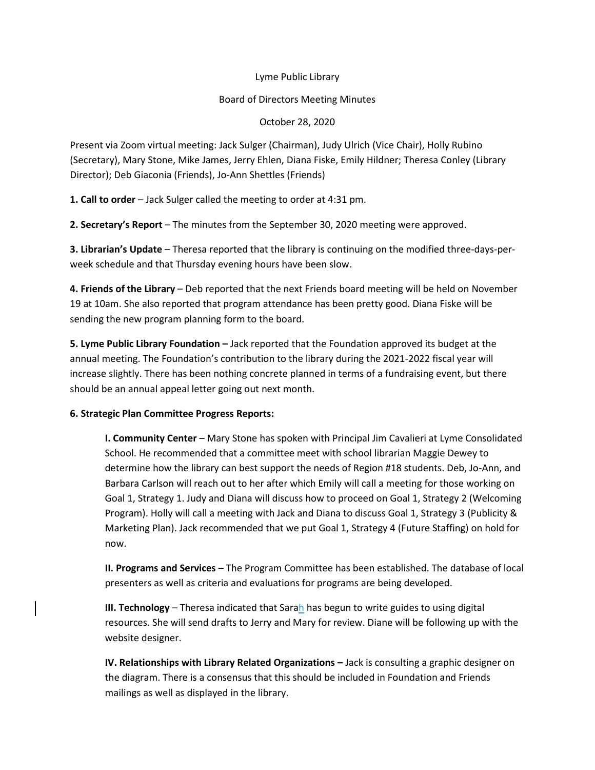## Lyme Public Library

## Board of Directors Meeting Minutes

October 28, 2020

Present via Zoom virtual meeting: Jack Sulger (Chairman), Judy Ulrich (Vice Chair), Holly Rubino (Secretary), Mary Stone, Mike James, Jerry Ehlen, Diana Fiske, Emily Hildner; Theresa Conley (Library Director); Deb Giaconia (Friends), Jo-Ann Shettles (Friends)

**1. Call to order** – Jack Sulger called the meeting to order at 4:31 pm.

**2. Secretary's Report** – The minutes from the September 30, 2020 meeting were approved.

**3. Librarian's Update** – Theresa reported that the library is continuing on the modified three-days-perweek schedule and that Thursday evening hours have been slow.

**4. Friends of the Library** – Deb reported that the next Friends board meeting will be held on November 19 at 10am. She also reported that program attendance has been pretty good. Diana Fiske will be sending the new program planning form to the board.

**5. Lyme Public Library Foundation –** Jack reported that the Foundation approved its budget at the annual meeting. The Foundation's contribution to the library during the 2021-2022 fiscal year will increase slightly. There has been nothing concrete planned in terms of a fundraising event, but there should be an annual appeal letter going out next month.

## **6. Strategic Plan Committee Progress Reports:**

**I. Community Center** – Mary Stone has spoken with Principal Jim Cavalieri at Lyme Consolidated School. He recommended that a committee meet with school librarian Maggie Dewey to determine how the library can best support the needs of Region #18 students. Deb, Jo-Ann, and Barbara Carlson will reach out to her after which Emily will call a meeting for those working on Goal 1, Strategy 1. Judy and Diana will discuss how to proceed on Goal 1, Strategy 2 (Welcoming Program). Holly will call a meeting with Jack and Diana to discuss Goal 1, Strategy 3 (Publicity & Marketing Plan). Jack recommended that we put Goal 1, Strategy 4 (Future Staffing) on hold for now.

**II. Programs and Services** – The Program Committee has been established. The database of local presenters as well as criteria and evaluations for programs are being developed.

**III. Technology** – Theresa indicated that Sarah has begun to write guides to using digital resources. She will send drafts to Jerry and Mary for review. Diane will be following up with the website designer.

**IV. Relationships with Library Related Organizations – Jack is consulting a graphic designer on** the diagram. There is a consensus that this should be included in Foundation and Friends mailings as well as displayed in the library.